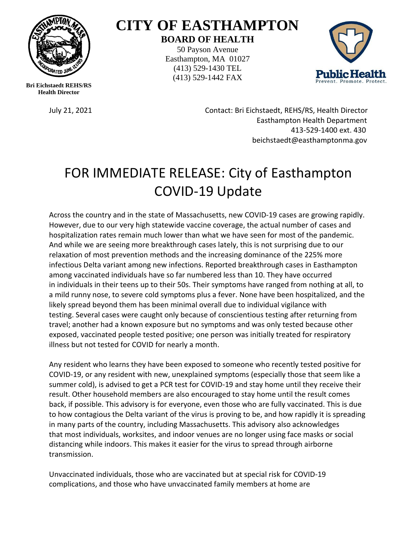

**Bri Eichstaedt REHS/RS Health Director**

## **CITY OF EASTHAMPTON BOARD OF HEALTH**

50 Payson Avenue Easthampton, MA 01027 (413) 529-1430 TEL (413) 529-1442 FAX



July 21, 2021 Contact: Bri Eichstaedt, REHS/RS, Health Director Easthampton Health Department 413-529-1400 ext. 430 beichstaedt@easthamptonma.gov

## FOR IMMEDIATE RELEASE: City of Easthampton COVID-19 Update

Across the country and in the state of Massachusetts, new COVID-19 cases are growing rapidly. However, due to our very high statewide vaccine coverage, the actual number of cases and hospitalization rates remain much lower than what we have seen for most of the pandemic. And while we are seeing more breakthrough cases lately, this is not surprising due to our relaxation of most prevention methods and the increasing dominance of the 225% more infectious Delta variant among new infections. Reported breakthrough cases in Easthampton among vaccinated individuals have so far numbered less than 10. They have occurred in individuals in their teens up to their 50s. Their symptoms have ranged from nothing at all, to a mild runny nose, to severe cold symptoms plus a fever. None have been hospitalized, and the likely spread beyond them has been minimal overall due to individual vigilance with testing. Several cases were caught only because of conscientious testing after returning from travel; another had a known exposure but no symptoms and was only tested because other exposed, vaccinated people tested positive; one person was initially treated for respiratory illness but not tested for COVID for nearly a month.

Any resident who learns they have been exposed to someone who recently tested positive for COVID-19, or any resident with new, unexplained symptoms (especially those that seem like a summer cold), is advised to get a PCR test for COVID-19 and stay home until they receive their result. Other household members are also encouraged to stay home until the result comes back, if possible. This advisory is for everyone, even those who are fully vaccinated. This is due to how contagious the Delta variant of the virus is proving to be, and how rapidly it is spreading in many parts of the country, including Massachusetts. This advisory also acknowledges that most individuals, worksites, and indoor venues are no longer using face masks or social distancing while indoors. This makes it easier for the virus to spread through airborne transmission.

Unvaccinated individuals, those who are vaccinated but at special risk for COVID-19 complications, and those who have unvaccinated family members at home are